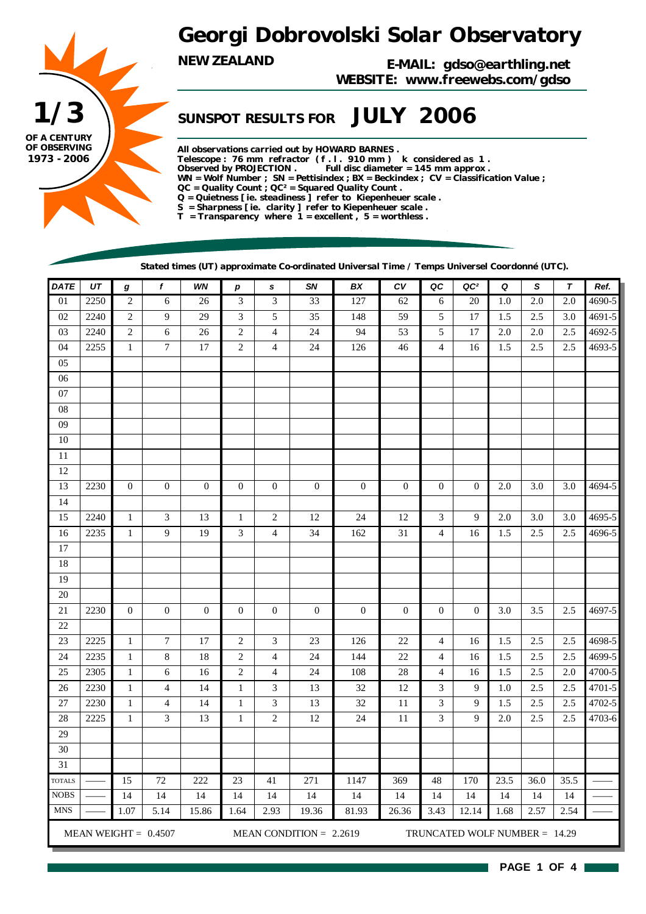



*NEW ZEALAND E-MAIL: gdso@earthling.net WEBSITE: www.freewebs.com/gdso*

### *SUNSPOT RESULTS FOR JULY 2006*

*All observations carried out by HOWARD BARNES . Telescope : 76 mm refractor ( f . l . 910 mm ) k considered as 1 . Observed by PROJECTION . Full disc diameter = 145 mm approx . WN = Wolf Number ; SN = Pettisindex ; BX = Beckindex ; CV = Classification Value ; QC = Quality Count ; QC² = Squared Quality Count . Q = Quietness [ ie. steadiness ] refer to Kiepenheuer scale . S = Sharpness [ ie. clarity ] refer to Kiepenheuer scale . T = Transparency where 1 = excellent , 5 = worthless .*

*Stated times (UT) approximate Co-ordinated Universal Time / Temps Universel Coordonné (UTC).*

| <b>DATE</b>     | UT   | g            | $\pmb{f}$              | WN               | $\boldsymbol{p}$ | s                        | SN                        | BX               | ${\cal C}{\cal V}$ | QC             | QC <sup>2</sup>               | Q       | S       | $\boldsymbol{\tau}$ | Ref.       |
|-----------------|------|--------------|------------------------|------------------|------------------|--------------------------|---------------------------|------------------|--------------------|----------------|-------------------------------|---------|---------|---------------------|------------|
| $\overline{01}$ | 2250 | $\sqrt{2}$   | $\epsilon$             | 26               | 3                | $\mathfrak{Z}$           | 33                        | 127              | 62                 | 6              | $20\,$                        | 1.0     | $2.0\,$ | $2.0\,$             | 4690-5     |
| $02\,$          | 2240 | $\sqrt{2}$   | 9                      | 29               | 3                | 5                        | 35                        | 148              | 59                 | 5              | 17                            | 1.5     | 2.5     | 3.0                 | 4691-5     |
| 03              | 2240 | $\sqrt{2}$   | 6                      | $26\,$           | $\sqrt{2}$       | $\overline{\mathcal{L}}$ | 24                        | 94               | 53                 | 5              | 17                            | 2.0     | $2.0\,$ | $2.5\,$             | 4692-5     |
| 04              | 2255 | $\mathbf{1}$ | $\boldsymbol{7}$       | $17\,$           | $\mathfrak{2}$   | $\overline{\mathcal{L}}$ | 24                        | 126              | 46                 | $\overline{4}$ | 16                            | 1.5     | 2.5     | 2.5                 | 4693-5     |
| 05              |      |              |                        |                  |                  |                          |                           |                  |                    |                |                               |         |         |                     |            |
| $06\,$          |      |              |                        |                  |                  |                          |                           |                  |                    |                |                               |         |         |                     |            |
| 07              |      |              |                        |                  |                  |                          |                           |                  |                    |                |                               |         |         |                     |            |
| ${\bf 08}$      |      |              |                        |                  |                  |                          |                           |                  |                    |                |                               |         |         |                     |            |
| 09              |      |              |                        |                  |                  |                          |                           |                  |                    |                |                               |         |         |                     |            |
| $10\,$          |      |              |                        |                  |                  |                          |                           |                  |                    |                |                               |         |         |                     |            |
| $11\,$          |      |              |                        |                  |                  |                          |                           |                  |                    |                |                               |         |         |                     |            |
| 12              |      |              |                        |                  |                  |                          |                           |                  |                    |                |                               |         |         |                     |            |
| 13              | 2230 | $\mathbf{0}$ | $\boldsymbol{0}$       | $\mathbf{0}$     | $\boldsymbol{0}$ | $\boldsymbol{0}$         | $\boldsymbol{0}$          | $\boldsymbol{0}$ | $\boldsymbol{0}$   | $\mathbf{0}$   | $\boldsymbol{0}$              | 2.0     | 3.0     | 3.0                 | 4694-5     |
| 14              |      |              |                        |                  |                  |                          |                           |                  |                    |                |                               |         |         |                     |            |
| 15              | 2240 | $\mathbf{1}$ | $\mathfrak{Z}$         | 13               | $\mathbf{1}$     | $\boldsymbol{2}$         | 12                        | 24               | 12                 | 3              | 9                             | 2.0     | 3.0     | 3.0                 | 4695-5     |
| 16              | 2235 | $\mathbf{1}$ | 9                      | 19               | 3                | $\overline{4}$           | 34                        | 162              | 31                 | $\overline{4}$ | 16                            | $1.5\,$ | $2.5\,$ | 2.5                 | 4696-5     |
| $17\,$          |      |              |                        |                  |                  |                          |                           |                  |                    |                |                               |         |         |                     |            |
| $18\,$          |      |              |                        |                  |                  |                          |                           |                  |                    |                |                               |         |         |                     |            |
| 19              |      |              |                        |                  |                  |                          |                           |                  |                    |                |                               |         |         |                     |            |
| $20\,$          |      |              |                        |                  |                  |                          |                           |                  |                    |                |                               |         |         |                     |            |
| 21              | 2230 | $\mathbf{0}$ | $\boldsymbol{0}$       | $\boldsymbol{0}$ | $\boldsymbol{0}$ | $\boldsymbol{0}$         | $\boldsymbol{0}$          | $\boldsymbol{0}$ | $\boldsymbol{0}$   | $\mathbf{0}$   | $\boldsymbol{0}$              | 3.0     | 3.5     | $2.5\,$             | 4697-5     |
| $22\,$          |      |              |                        |                  |                  |                          |                           |                  |                    |                |                               |         |         |                     |            |
| $23\,$          | 2225 | $\mathbf{1}$ | 7                      | 17               | $\sqrt{2}$       | 3                        | 23                        | 126              | 22                 | 4              | 16                            | 1.5     | 2.5     | 2.5                 | 4698-5     |
| 24              | 2235 | $\mathbf{1}$ | $\,8\,$                | 18               | $\overline{c}$   | $\overline{\mathcal{L}}$ | 24                        | 144              | $22\,$             | 4              | 16                            | 1.5     | 2.5     | 2.5                 | 4699-5     |
| 25              | 2305 | $\mathbf{1}$ | 6                      | 16               | $\overline{c}$   | 4                        | $24\,$                    | 108              | $28\,$             | 4              | 16                            | 1.5     | $2.5\,$ | 2.0                 | 4700-5     |
| $26\,$          | 2230 | $\,1\,$      | $\overline{4}$         | 14               | $\,1$            | 3                        | 13                        | 32               | $12\,$             | 3              | 9                             | 1.0     | 2.5     | $2.5\,$             | $4701 - 5$ |
| $27\,$          | 2230 | $\mathbf{1}$ | 4                      | 14               | $\mathbf{1}$     | 3                        | 13                        | 32               | $11\,$             | $\mathfrak{Z}$ | 9                             | 1.5     | $2.5\,$ | 2.5                 | 4702-5     |
| $28\,$          | 2225 | $\mathbf{1}$ | 3                      | 13               | $\mathbf{1}$     | $\overline{c}$           | $12\,$                    | 24               | 11                 | 3              | 9                             | $2.0\,$ | 2.5     | 2.5                 | 4703-6     |
| 29              |      |              |                        |                  |                  |                          |                           |                  |                    |                |                               |         |         |                     |            |
| 30              |      |              |                        |                  |                  |                          |                           |                  |                    |                |                               |         |         |                     |            |
| 31              |      |              |                        |                  |                  |                          |                           |                  |                    |                |                               |         |         |                     |            |
| <b>TOTALS</b>   |      | 15           | 72                     | 222              | 23               | 41                       | 271                       | 1147             | 369                | 48             | 170                           | 23.5    | 36.0    | 35.5                |            |
| <b>NOBS</b>     |      | 14           | 14                     | 14               | 14               | 14                       | 14                        | 14               | 14                 | 14             | 14                            | 14      | 14      | 14                  |            |
| <b>MNS</b>      |      | 1.07         | 5.14                   | 15.86            | 1.64             | 2.93                     | 19.36                     | 81.93            | 26.36              | 3.43           | 12.14                         | 1.68    | 2.57    | 2.54                |            |
|                 |      |              | MEAN WEIGHT = $0.4507$ |                  |                  |                          | MEAN CONDITION = $2.2619$ |                  |                    |                | TRUNCATED WOLF NUMBER = 14.29 |         |         |                     |            |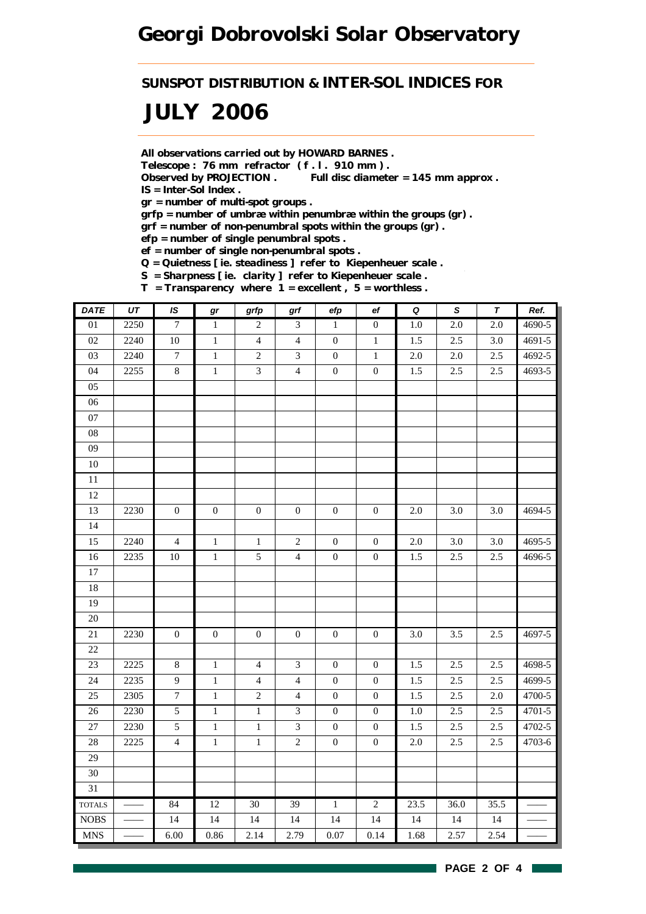*SUNSPOT DISTRIBUTION & INTER-SOL INDICES FOR*

## *JULY 2006*

*All observations carried out by HOWARD BARNES .*

*Telescope : 76 mm refractor ( f . l . 910 mm ) .*

*Observed by PROJECTION . Full disc diameter = 145 mm approx . IS = Inter-Sol Index .*

*gr = number of multi-spot groups .*

*grfp = number of umbræ within penumbræ within the groups (gr) .*

*grf = number of non-penumbral spots within the groups (gr) .*

*efp = number of single penumbral spots .*

*ef = number of single non-penumbral spots .*

*Q = Quietness [ ie. steadiness ] refer to Kiepenheuer scale .*

*S = Sharpness [ ie. clarity ] refer to Kiepenheuer scale . T = Transparency where 1 = excellent , 5 = worthless .*

| <b>DATE</b>                   | $\overline{UT}$ | IS               | $\bm{gr}$        | grfp             | grf              | efp              | $_{\rm ef}$      | $\pmb Q$ | $\overline{s}$   | $\overline{\tau}$ | Ref.   |
|-------------------------------|-----------------|------------------|------------------|------------------|------------------|------------------|------------------|----------|------------------|-------------------|--------|
| $\overline{01}$               | 2250            | $\overline{7}$   | $\mathbf{1}$     | $\overline{2}$   | 3                | $\mathbf{1}$     | $\boldsymbol{0}$ | $1.0\,$  | $2.0\,$          | $\overline{2.0}$  | 4690-5 |
| $02\,$                        | 2240            | $10\,$           | $\mathbf{1}$     | $\overline{4}$   | $\overline{4}$   | $\mathbf{0}$     | $\mathbf{1}$     | 1.5      | 2.5              | 3.0               | 4691-5 |
| 03                            | 2240            | $\boldsymbol{7}$ | $\mathbf{1}$     | $\sqrt{2}$       | $\mathfrak{Z}$   | $\mathbf{0}$     | $\mathbf{1}$     | $2.0\,$  | $2.0\,$          | 2.5               | 4692-5 |
| 04                            | 2255            | 8                | $\,1\,$          | 3                | $\overline{4}$   | $\boldsymbol{0}$ | $\boldsymbol{0}$ | 1.5      | 2.5              | 2.5               | 4693-5 |
| 05                            |                 |                  |                  |                  |                  |                  |                  |          |                  |                   |        |
| 06                            |                 |                  |                  |                  |                  |                  |                  |          |                  |                   |        |
| $07\,$                        |                 |                  |                  |                  |                  |                  |                  |          |                  |                   |        |
| ${\bf 08}$                    |                 |                  |                  |                  |                  |                  |                  |          |                  |                   |        |
| 09                            |                 |                  |                  |                  |                  |                  |                  |          |                  |                   |        |
| $10\,$                        |                 |                  |                  |                  |                  |                  |                  |          |                  |                   |        |
| $\overline{11}$               |                 |                  |                  |                  |                  |                  |                  |          |                  |                   |        |
| 12                            |                 |                  |                  |                  |                  |                  |                  |          |                  |                   |        |
| 13                            | 2230            | $\boldsymbol{0}$ | $\boldsymbol{0}$ | $\boldsymbol{0}$ | $\boldsymbol{0}$ | $\boldsymbol{0}$ | $\boldsymbol{0}$ | $2.0\,$  | 3.0              | 3.0               | 4694-5 |
| 14                            |                 |                  |                  |                  |                  |                  |                  |          |                  |                   |        |
| 15                            | 2240            | $\overline{4}$   | $\,1$            | $\,1$            | $\sqrt{2}$       | $\boldsymbol{0}$ | $\boldsymbol{0}$ | $2.0\,$  | 3.0              | 3.0               | 4695-5 |
| 16                            | 2235            | $10\,$           | $\,1\,$          | $\mathfrak{S}$   | $\overline{4}$   | $\boldsymbol{0}$ | $\boldsymbol{0}$ | 1.5      | 2.5              | 2.5               | 4696-5 |
| $17\,$                        |                 |                  |                  |                  |                  |                  |                  |          |                  |                   |        |
| 18                            |                 |                  |                  |                  |                  |                  |                  |          |                  |                   |        |
| 19                            |                 |                  |                  |                  |                  |                  |                  |          |                  |                   |        |
| 20                            |                 |                  |                  |                  |                  |                  |                  |          |                  |                   |        |
| $21\,$                        | 2230            | $\boldsymbol{0}$ | $\boldsymbol{0}$ | $\boldsymbol{0}$ | $\boldsymbol{0}$ | $\boldsymbol{0}$ | $\boldsymbol{0}$ | 3.0      | 3.5              | 2.5               | 4697-5 |
| 22                            |                 |                  |                  |                  |                  |                  |                  |          |                  |                   |        |
| 23                            | 2225            | $\,8\,$          | $\,1$            | $\overline{4}$   | $\mathfrak{Z}$   | $\boldsymbol{0}$ | $\boldsymbol{0}$ | 1.5      | 2.5              | 2.5               | 4698-5 |
| 24                            | 2235            | 9                | $\,1$            | $\overline{4}$   | $\overline{4}$   | $\boldsymbol{0}$ | $\boldsymbol{0}$ | $1.5\,$  | $2.5\,$          | 2.5               | 4699-5 |
| 25                            | 2305            | $\overline{7}$   | $\,1\,$          | $\sqrt{2}$       | $\overline{4}$   | $\boldsymbol{0}$ | $\boldsymbol{0}$ | 1.5      | 2.5              | 2.0               | 4700-5 |
| 26                            | 2230            | $\overline{5}$   | $\,1\,$          | $\,1\,$          | $\mathfrak{Z}$   | $\boldsymbol{0}$ | $\mathbf{0}$     | $1.0\,$  | 2.5              | 2.5               | 4701-5 |
| 27                            | 2230            | $\mathfrak s$    | $\,1\,$          | $\,1$            | $\mathfrak{Z}$   | $\boldsymbol{0}$ | $\boldsymbol{0}$ | 1.5      | 2.5              | 2.5               | 4702-5 |
| $28\,$                        | 2225            | $\overline{4}$   | $\,1$            | $\,1$            | $\sqrt{2}$       | $\boldsymbol{0}$ | $\boldsymbol{0}$ | $2.0\,$  | $2.5\,$          | 2.5               | 4703-6 |
| 29                            |                 |                  |                  |                  |                  |                  |                  |          |                  |                   |        |
| 30                            |                 |                  |                  |                  |                  |                  |                  |          |                  |                   |        |
| 31                            |                 |                  |                  |                  |                  |                  |                  |          |                  |                   |        |
| <b>TOTALS</b>                 |                 | 84               | 12               | 30               | 39               | $\overline{1}$   | $\overline{2}$   | 23.5     | $\frac{1}{36.0}$ | 35.5              |        |
| <b>NOBS</b>                   |                 | 14               | 14               | 14               | 14               | 14               | 14               | 14       | 14               | 14                |        |
| $\operatorname{\mathsf{MNS}}$ |                 | 6.00             | 0.86             | 2.14             | 2.79             | 0.07             | 0.14             | 1.68     | 2.57             | 2.54              |        |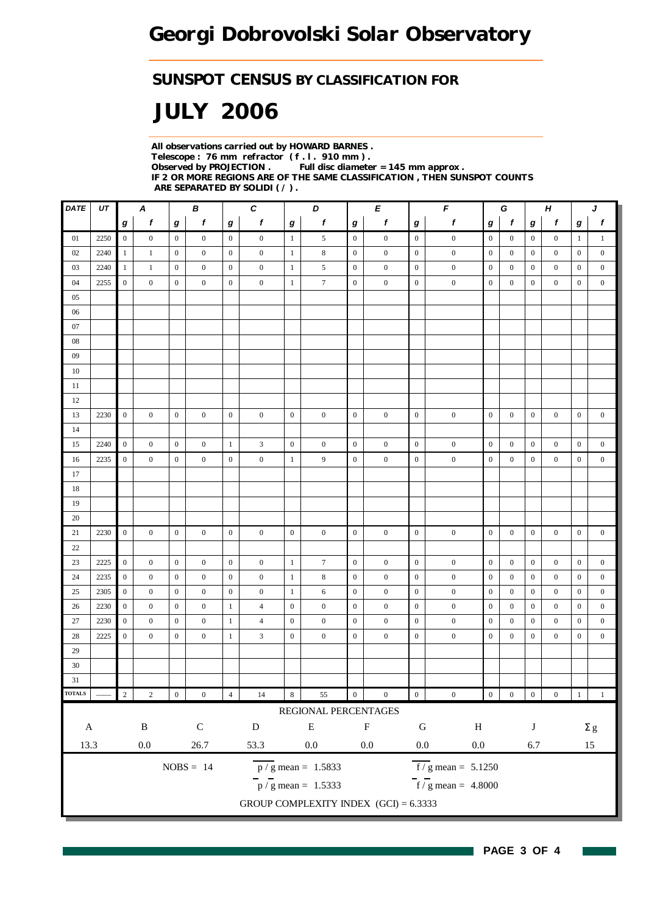#### *SUNSPOT CENSUS BY CLASSIFICATION FOR*

# *JULY 2006*

*All observations carried out by HOWARD BARNES . Telescope : 76 mm refractor ( f . l . 910 mm ) . Observed by PROJECTION . Full disc diameter = 145 mm approx . IF 2 OR MORE REGIONS ARE OF THE SAME CLASSIFICATION , THEN SUNSPOT COUNTS ARE SEPARATED BY SOLIDI ( / ) .*

| DATE          | UT   |                  | A                |                  | В                |                | C                |                  | D                                       |                  | E                |                  | $\pmb{\digamma}$                          | G<br>Н           |                  |                  |                  | J                |                  |
|---------------|------|------------------|------------------|------------------|------------------|----------------|------------------|------------------|-----------------------------------------|------------------|------------------|------------------|-------------------------------------------|------------------|------------------|------------------|------------------|------------------|------------------|
|               |      | g                | f                | g                | f                | g              | f                | g                | f                                       | g                | f                | $\bm{g}$         | f                                         | g                | f                | g                | f                | $\bm{g}$         | f                |
| 01            | 2250 | $\overline{0}$   | $\mathbf{0}$     | $\overline{0}$   | $\mathbf{0}$     | $\overline{0}$ | $\boldsymbol{0}$ | $\mathbf{1}$     | 5                                       | $\boldsymbol{0}$ | $\boldsymbol{0}$ | $\boldsymbol{0}$ | $\boldsymbol{0}$                          | $\mathbf{0}$     | $\mathbf{0}$     | $\overline{0}$   | $\boldsymbol{0}$ | $\mathbf{1}$     | $\mathbf{1}$     |
| 02            | 2240 | $\mathbf{1}$     | $\mathbf{1}$     | $\mathbf{0}$     | $\mathbf{0}$     | $\mathbf{0}$   | $\boldsymbol{0}$ | $\mathbf{1}$     | 8                                       | $\mathbf{0}$     | $\bf{0}$         | $\mathbf{0}$     | $\boldsymbol{0}$                          | $\boldsymbol{0}$ | $\overline{0}$   | $\bf{0}$         | $\mathbf{0}$     | $\mathbf{0}$     | $\boldsymbol{0}$ |
| 03            | 2240 | $\mathbf{1}$     | $\mathbf{1}$     | $\boldsymbol{0}$ | $\mathbf{0}$     | $\mathbf{0}$   | $\mathbf{0}$     | 1                | 5                                       | $\mathbf{0}$     | $\boldsymbol{0}$ | $\boldsymbol{0}$ | $\boldsymbol{0}$                          | $\mathbf{0}$     | $\overline{0}$   | $\boldsymbol{0}$ | $\boldsymbol{0}$ | $\boldsymbol{0}$ | $\boldsymbol{0}$ |
| 04            | 2255 | $\mathbf{0}$     | $\boldsymbol{0}$ | $\boldsymbol{0}$ | $\boldsymbol{0}$ | $\overline{0}$ | $\boldsymbol{0}$ | $\mathbf{1}$     | $\tau$                                  | $\mathbf{0}$     | $\boldsymbol{0}$ | $\mathbf{0}$     | $\boldsymbol{0}$                          | $\boldsymbol{0}$ | $\boldsymbol{0}$ | $\boldsymbol{0}$ | $\bf{0}$         | $\mathbf{0}$     | $\boldsymbol{0}$ |
| 05            |      |                  |                  |                  |                  |                |                  |                  |                                         |                  |                  |                  |                                           |                  |                  |                  |                  |                  |                  |
| 06            |      |                  |                  |                  |                  |                |                  |                  |                                         |                  |                  |                  |                                           |                  |                  |                  |                  |                  |                  |
| 07            |      |                  |                  |                  |                  |                |                  |                  |                                         |                  |                  |                  |                                           |                  |                  |                  |                  |                  |                  |
| $08\,$        |      |                  |                  |                  |                  |                |                  |                  |                                         |                  |                  |                  |                                           |                  |                  |                  |                  |                  |                  |
| 09            |      |                  |                  |                  |                  |                |                  |                  |                                         |                  |                  |                  |                                           |                  |                  |                  |                  |                  |                  |
| 10            |      |                  |                  |                  |                  |                |                  |                  |                                         |                  |                  |                  |                                           |                  |                  |                  |                  |                  |                  |
| 11            |      |                  |                  |                  |                  |                |                  |                  |                                         |                  |                  |                  |                                           |                  |                  |                  |                  |                  |                  |
| 12            |      |                  |                  |                  |                  |                |                  |                  |                                         |                  |                  |                  |                                           |                  |                  |                  |                  |                  |                  |
| 13            | 2230 | $\boldsymbol{0}$ | $\overline{0}$   | $\mathbf{0}$     | $\mathbf{0}$     | $\mathbf{0}$   | $\boldsymbol{0}$ | $\mathbf{0}$     | $\mathbf{0}$                            | $\boldsymbol{0}$ | $\boldsymbol{0}$ | $\mathbf{0}$     | $\boldsymbol{0}$                          | $\mathbf{0}$     | $\boldsymbol{0}$ | $\boldsymbol{0}$ | $\boldsymbol{0}$ | $\mathbf{0}$     | $\boldsymbol{0}$ |
| 14            |      |                  |                  |                  |                  |                |                  |                  |                                         |                  |                  |                  |                                           |                  |                  |                  |                  |                  |                  |
| 15            | 2240 | $\mathbf{0}$     | $\boldsymbol{0}$ | $\mathbf{0}$     | $\mathbf{0}$     | $\mathbf{1}$   | 3                | $\boldsymbol{0}$ | $\boldsymbol{0}$                        | $\boldsymbol{0}$ | $\boldsymbol{0}$ | $\boldsymbol{0}$ | $\boldsymbol{0}$                          | $\boldsymbol{0}$ | $\overline{0}$   | $\boldsymbol{0}$ | $\boldsymbol{0}$ | $\boldsymbol{0}$ | $\boldsymbol{0}$ |
| 16            | 2235 | $\overline{0}$   | $\overline{0}$   | $\mathbf{0}$     | $\mathbf{0}$     | $\mathbf{0}$   | $\overline{0}$   | $\mathbf{1}$     | 9                                       | $\mathbf{0}$     | $\boldsymbol{0}$ | $\mathbf{0}$     | $\boldsymbol{0}$                          | $\mathbf{0}$     | $\overline{0}$   | $\boldsymbol{0}$ | $\boldsymbol{0}$ | $\mathbf{0}$     | $\boldsymbol{0}$ |
| 17            |      |                  |                  |                  |                  |                |                  |                  |                                         |                  |                  |                  |                                           |                  |                  |                  |                  |                  |                  |
| 18            |      |                  |                  |                  |                  |                |                  |                  |                                         |                  |                  |                  |                                           |                  |                  |                  |                  |                  |                  |
| 19            |      |                  |                  |                  |                  |                |                  |                  |                                         |                  |                  |                  |                                           |                  |                  |                  |                  |                  |                  |
| 20            |      |                  |                  |                  |                  |                |                  |                  |                                         |                  |                  |                  |                                           |                  |                  |                  |                  |                  |                  |
| 21            | 2230 | $\overline{0}$   | $\overline{0}$   | $\mathbf{0}$     | $\overline{0}$   | $\mathbf{0}$   | $\boldsymbol{0}$ | $\mathbf{0}$     | $\boldsymbol{0}$                        | $\mathbf{0}$     | $\mathbf{0}$     | $\mathbf{0}$     | $\boldsymbol{0}$                          | $\mathbf{0}$     | $\overline{0}$   | $\boldsymbol{0}$ | $\boldsymbol{0}$ | $\overline{0}$   | $\boldsymbol{0}$ |
| 22            |      |                  |                  |                  |                  |                |                  |                  |                                         |                  |                  |                  |                                           |                  |                  |                  |                  |                  |                  |
| 23            | 2225 | $\overline{0}$   | $\boldsymbol{0}$ | $\overline{0}$   | $\mathbf{0}$     | $\overline{0}$ | $\boldsymbol{0}$ | $\mathbf{1}$     | 7                                       | $\mathbf{0}$     | $\boldsymbol{0}$ | $\mathbf{0}$     | $\boldsymbol{0}$                          | $\mathbf{0}$     | $\mathbf{0}$     | $\boldsymbol{0}$ | $\boldsymbol{0}$ | $\boldsymbol{0}$ | $\boldsymbol{0}$ |
| 24            | 2235 | $\overline{0}$   | $\boldsymbol{0}$ | $\mathbf{0}$     | $\mathbf{0}$     | $\mathbf{0}$   | $\boldsymbol{0}$ | 1                | 8                                       | $\mathbf{0}$     | $\boldsymbol{0}$ | $\boldsymbol{0}$ | $\boldsymbol{0}$                          | $\mathbf{0}$     | $\mathbf{0}$     | $\boldsymbol{0}$ | $\boldsymbol{0}$ | $\boldsymbol{0}$ | $\boldsymbol{0}$ |
| 25            | 2305 | $\mathbf{0}$     | $\boldsymbol{0}$ | $\mathbf{0}$     | $\boldsymbol{0}$ | $\mathbf{0}$   | $\boldsymbol{0}$ | 1                | 6                                       | $\boldsymbol{0}$ | $\boldsymbol{0}$ | $\mathbf{0}$     | $\mathbf{0}$                              | $\boldsymbol{0}$ | $\overline{0}$   | $\overline{0}$   | $\mathbf{0}$     | $\mathbf{0}$     | $\mathbf{0}$     |
| 26            | 2230 | $\boldsymbol{0}$ | $\mathbf{0}$     | $\mathbf{0}$     | $\boldsymbol{0}$ | $\mathbf{1}$   | $\overline{4}$   | $\mathbf{0}$     | $\mathbf{0}$                            | $\mathbf{0}$     | $\boldsymbol{0}$ | $\mathbf{0}$     | $\mathbf{0}$                              | $\boldsymbol{0}$ | $\overline{0}$   | $\boldsymbol{0}$ | $\mathbf{0}$     | $\boldsymbol{0}$ | $\boldsymbol{0}$ |
| 27            | 2230 | $\boldsymbol{0}$ | $\boldsymbol{0}$ | $\mathbf{0}$     | $\boldsymbol{0}$ | $\mathbf{1}$   | $\overline{4}$   | $\mathbf{0}$     | $\boldsymbol{0}$                        | $\boldsymbol{0}$ | $\boldsymbol{0}$ | $\boldsymbol{0}$ | $\boldsymbol{0}$                          | $\boldsymbol{0}$ | $\mathbf{0}$     | $\boldsymbol{0}$ | $\boldsymbol{0}$ | $\boldsymbol{0}$ | $\boldsymbol{0}$ |
| 28            | 2225 | $\mathbf{0}$     | $\mathbf{0}$     | $\mathbf{0}$     | $\mathbf{0}$     | $\mathbf{1}$   | 3                | $\mathbf{0}$     | $\boldsymbol{0}$                        | $\boldsymbol{0}$ | $\boldsymbol{0}$ | $\boldsymbol{0}$ | $\boldsymbol{0}$                          | $\boldsymbol{0}$ | $\boldsymbol{0}$ | $\boldsymbol{0}$ | $\boldsymbol{0}$ | $\boldsymbol{0}$ | $\boldsymbol{0}$ |
| 29            |      |                  |                  |                  |                  |                |                  |                  |                                         |                  |                  |                  |                                           |                  |                  |                  |                  |                  |                  |
| 30            |      |                  |                  |                  |                  |                |                  |                  |                                         |                  |                  |                  |                                           |                  |                  |                  |                  |                  |                  |
| 31            |      |                  |                  |                  |                  |                |                  |                  |                                         |                  |                  |                  |                                           |                  |                  |                  |                  |                  |                  |
| <b>TOTALS</b> |      | $\sqrt{2}$       | $\,2$            | $\boldsymbol{0}$ | $\boldsymbol{0}$ | $\overline{4}$ | $14\,$           | $\,8\,$          | 55                                      | $\boldsymbol{0}$ | $\boldsymbol{0}$ | $\boldsymbol{0}$ | $\boldsymbol{0}$                          | $\boldsymbol{0}$ | $\boldsymbol{0}$ | $\boldsymbol{0}$ | $\boldsymbol{0}$ | $\,1\,$          | $\mathbf{1}$     |
|               |      |                  |                  |                  |                  |                |                  |                  | REGIONAL PERCENTAGES                    |                  |                  |                  |                                           |                  |                  |                  |                  |                  |                  |
| $\mathbf A$   |      |                  | $\, {\bf B}$     |                  | ${\bf C}$        |                | ${\bf D}$        |                  | ${\bf E}$                               |                  | ${\bf F}$        | ${\bf G}$        | $\, {\rm H}$                              |                  |                  | $\bf J$          |                  |                  | $\Sigma$ g       |
| 13.3          |      |                  | $0.0\,$          |                  | 26.7             |                | 53.3             |                  | $0.0\,$                                 |                  | $0.0\,$          | $0.0\,$          | $0.0\,$                                   |                  |                  | 6.7              |                  |                  | 15               |
|               |      |                  |                  |                  | $NOBS = 14$      |                |                  |                  | $\overline{p}/g$ mean = 1.5833          |                  |                  |                  | $\overline{f}/\overline{g}$ mean = 5.1250 |                  |                  |                  |                  |                  |                  |
|               |      |                  |                  |                  |                  |                |                  |                  |                                         |                  |                  |                  |                                           |                  |                  |                  |                  |                  |                  |
|               |      |                  |                  |                  |                  |                |                  |                  | $\frac{1}{p}$ / g mean = 1.5333         |                  |                  |                  | $\frac{1}{\pi}$ / g mean = 4.8000         |                  |                  |                  |                  |                  |                  |
|               |      |                  |                  |                  |                  |                |                  |                  | GROUP COMPLEXITY INDEX $(GCI) = 6.3333$ |                  |                  |                  |                                           |                  |                  |                  |                  |                  |                  |

H